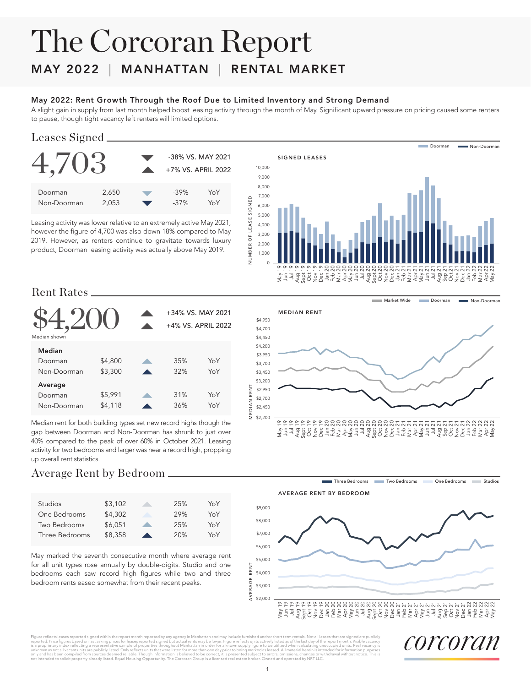# The Corcoran Report

### MAY 2022 | MANHATTAN | RENTAL MARKET

#### May 2022: Rent Growth Through the Roof Due to Limited Inventory and Strong Demand

A slight gain in supply from last month helped boost leasing activity through the month of May. Significant upward pressure on pricing caused some renters to pause, though tight vacancy left renters will limited options.

#### Leases Signed



Leasing activity was lower relative to an extremely active May 2021, however the figure of 4,700 was also down 18% compared to May 2019. However, as renters continue to gravitate towards luxury product, Doorman leasing activity was actually above May 2019.



**Market Wide** 

#### Rent Rates

| Median shown | +34% VS. MAY 2021<br>+4% VS. APRIL 2022 |     |     |  |  |
|--------------|-----------------------------------------|-----|-----|--|--|
| Median       |                                         |     |     |  |  |
| Doorman      | \$4,800                                 | 35% | YoY |  |  |
| Non-Doorman  | \$3,300                                 | 32% | YoY |  |  |
| Average      |                                         |     |     |  |  |
| Doorman      | \$5,991                                 | 31% | YoY |  |  |
| Non-Doorman  | \$4,118                                 | 36% | YoY |  |  |

Median rent for both building types set new record highs though the gap between Doorman and Non-Doorman has shrunk to just over 40% compared to the peak of over 60% in October 2021. Leasing activity for two bedrooms and larger was near a record high, propping up overall rent statistics.

#### Average Rent by Bedroom

| <b>Studios</b> | \$3,102 | 25% | YoY |
|----------------|---------|-----|-----|
| One Bedrooms   | \$4,302 | 29% | YoY |
| Two Bedrooms   | \$6.051 | 25% | YoY |
| Three Bedrooms | \$8,358 | 20% | YoY |

May marked the seventh consecutive month where average rent for all unit types rose annually by double-digits. Studio and one bedrooms each saw record high figures while two and three bedroom rents eased somewhat from their recent peaks.

Doorman **Non-Doorman** MEDIAN RENT \$4,950 \$4,700 \$4,450 \$4,200 \$3,950 \$3,700 \$3,450 \$3,200 MEDIAN RENT MEDIAN RENT \$2,950 \$2,700 \$2,450 \$2,200 May 19 Jun 19 Jul 19 Aug 19 Sept 19 Oct 19 Nov 19 Dec 19 Jan 20 Feb 20 Mar 20 Apr 20 May 20 Jun 20 Jul 20 Aug 20 Sept 20 Oct 20 Nov 20 Dec 20 Jan 21 Feb 21 Mar 21 Apr 21 May 21 Jun 21 Jul 21 Aug 21 Sep 21 Oct 21 Nov 21 Dec 21 Jan 22 Feb 22 Mar 22 Apr 22 May 22

Three Bedrooms Two Bedrooms One Bedrooms Studios



Figure reflects leases reported signed within the report month reported by any agency in Manhattan and may include furnished and/or short term rentals. Not all leases that are signed are publicly reported. Price figures based on last asking prices for leases reported signed but actual rents may be lower. Figure reflects units actively listed as of the last day of the report month. Visible vacancy<br>is a proprietary i only and has been compiled from sources deemed reliable. Though information is believed to be correct, it is presented subject to errors, omissions, changes or withdrawal without notice. This is rom sources deemed reliable. Though information is believed to be correct, it is presented supject to errors, omissions, cnanges or v<br>ty already listed. Equal Housing Opportunity. The Corcoran Group is a licensed real esta

corcoran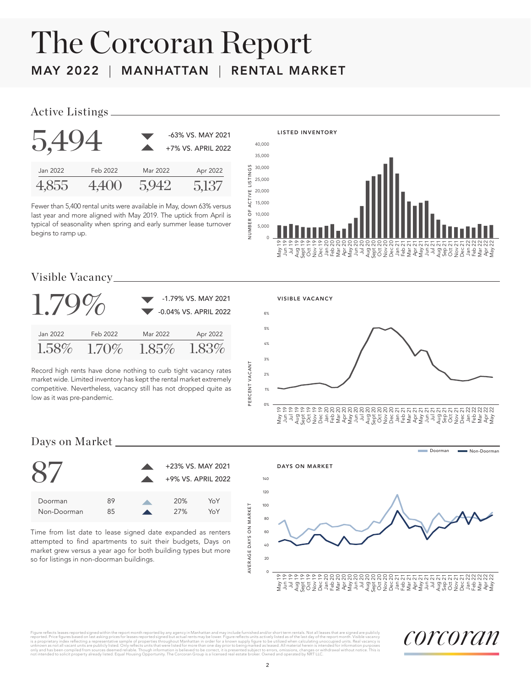## The Corcoran Report MAY 2022 | MANHATTAN | RENTAL MARKET

#### Active Listings

| 5.494    |          |          | -63% VS. MAY 2021<br>+7% VS. APRIL 2022 |
|----------|----------|----------|-----------------------------------------|
| Jan 2022 | Feb 2022 | Mar 2022 | Apr 2022                                |
|          | 4.400    |          | 5137                                    |

Fewer than 5,400 rental units were available in May, down 63% versus last year and more aligned with May 2019. The uptick from April is typical of seasonality when spring and early summer lease turnover begins to ramp up.



#### Visible Vacancy

|          |          | -1.79% VS. MAY 2021<br>-0.04% VS. APRIL 2022 |          |  |  |  |  |
|----------|----------|----------------------------------------------|----------|--|--|--|--|
| Jan 2022 | Feb 2022 | Mar 2022                                     | Apr 2022 |  |  |  |  |
| $1.58\%$ | $1.70\%$ | $1.85\%$                                     | 183%     |  |  |  |  |

Record high rents have done nothing to curb tight vacancy rates market wide. Limited inventory has kept the rental market extremely competitive. Nevertheless, vacancy still has not dropped quite as low as it was pre-pandemic.



#### Days on Market



Time from list date to lease signed date expanded as renters attempted to find apartments to suit their budgets, Days on market grew versus a year ago for both building types but more so for listings in non-doorman buildings.



Figure rellects leases reported signed within the report month reported by any agency in Manhattan and may include furnished and/or short term rentals. Not all leases that are signed are publicly increased that are signed ors, omissions, cnanges or v<br>id and operated by NRT LLC